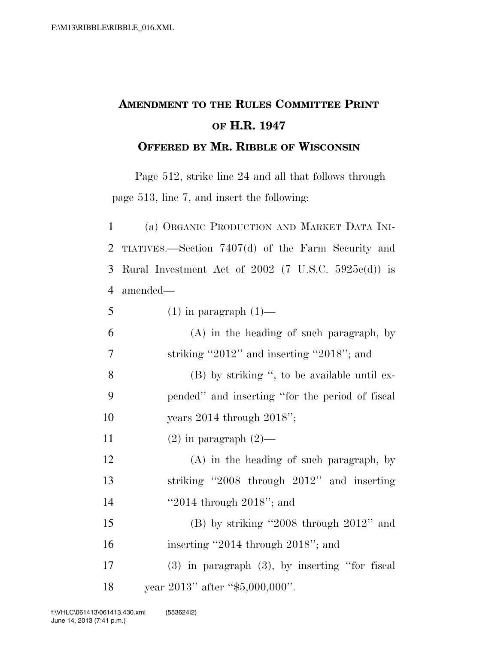## **AMENDMENT TO THE RULES COMMITTEE PRINT OF H.R. 1947 OFFERED BY MR. RIBBLE OF WISCONSIN**

Page 512, strike line 24 and all that follows through page 513, line 7, and insert the following:

 (a) ORGANIC PRODUCTION AND MARKET DATA INI- TIATIVES.—Section 7407(d) of the Farm Security and Rural Investment Act of 2002 (7 U.S.C. 5925c(d)) is amended—

| 5  | $(1)$ in paragraph $(1)$ —                          |
|----|-----------------------------------------------------|
| 6  | $(A)$ in the heading of such paragraph, by          |
| 7  | striking "2012" and inserting "2018"; and           |
| 8  | (B) by striking ", to be available until ex-        |
| 9  | pended" and inserting "for the period of fiscal     |
| 10 | years $2014$ through $2018$ ";                      |
| 11 | $(2)$ in paragraph $(2)$ —                          |
| 12 | $(A)$ in the heading of such paragraph, by          |
| 13 | striking "2008 through 2012" and inserting          |
| 14 | "2014 through $2018$ "; and                         |
| 15 | $(B)$ by striking "2008 through 2012" and           |
| 16 | inserting "2014 through 2018"; and                  |
| 17 | $(3)$ in paragraph $(3)$ , by inserting "for fiscal |
| 18 | year $2013$ " after "\$5,000,000".                  |